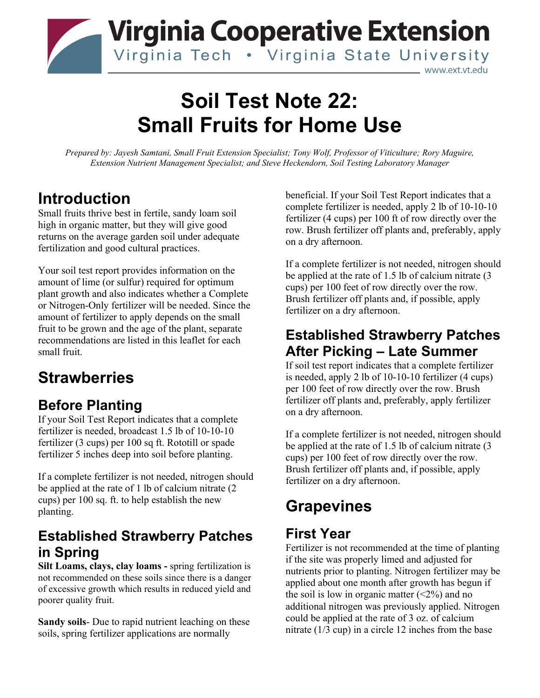

# **Soil Test Note 22: Small Fruits for Home Use**

*Prepared by: Jayesh Samtani, Small Fruit Extension Specialist; Tony Wolf, Professor of Viticulture; Rory Maguire, Extension Nutrient Management Specialist; and Steve Heckendorn, Soil Testing Laboratory Manager*

#### **Introduction**

Small fruits thrive best in fertile, sandy loam soil high in organic matter, but they will give good returns on the average garden soil under adequate fertilization and good cultural practices.

Your soil test report provides information on the amount of lime (or sulfur) required for optimum plant growth and also indicates whether a Complete or Nitrogen-Only fertilizer will be needed. Since the amount of fertilizer to apply depends on the small fruit to be grown and the age of the plant, separate recommendations are listed in this leaflet for each small fruit.

## **Strawberries**

#### **Before Planting**

If your Soil Test Report indicates that a complete fertilizer is needed, broadcast 1.5 lb of 10-10-10 fertilizer (3 cups) per 100 sq ft. Rototill or spade fertilizer 5 inches deep into soil before planting.

If a complete fertilizer is not needed, nitrogen should be applied at the rate of 1 lb of calcium nitrate (2 cups) per 100 sq. ft. to help establish the new planting.

#### **Established Strawberry Patches in Spring**

**Silt Loams, clays, clay loams -** spring fertilization is not recommended on these soils since there is a danger of excessive growth which results in reduced yield and poorer quality fruit.

**Sandy soils**- Due to rapid nutrient leaching on these soils, spring fertilizer applications are normally

beneficial. If your Soil Test Report indicates that a complete fertilizer is needed, apply 2 lb of 10-10-10 fertilizer (4 cups) per 100 ft of row directly over the row. Brush fertilizer off plants and, preferably, apply on a dry afternoon.

If a complete fertilizer is not needed, nitrogen should be applied at the rate of 1.5 lb of calcium nitrate (3 cups) per 100 feet of row directly over the row. Brush fertilizer off plants and, if possible, apply fertilizer on a dry afternoon.

#### **Established Strawberry Patches After Picking – Late Summer**

If soil test report indicates that a complete fertilizer is needed, apply 2 lb of 10-10-10 fertilizer (4 cups) per 100 feet of row directly over the row. Brush fertilizer off plants and, preferably, apply fertilizer on a dry afternoon.

If a complete fertilizer is not needed, nitrogen should be applied at the rate of 1.5 lb of calcium nitrate (3 cups) per 100 feet of row directly over the row. Brush fertilizer off plants and, if possible, apply fertilizer on a dry afternoon.

## **Grapevines**

#### **First Year**

Fertilizer is not recommended at the time of planting if the site was properly limed and adjusted for nutrients prior to planting. Nitrogen fertilizer may be applied about one month after growth has begun if the soil is low in organic matter  $(\leq 2\%)$  and no additional nitrogen was previously applied. Nitrogen could be applied at the rate of 3 oz. of calcium nitrate (1/3 cup) in a circle 12 inches from the base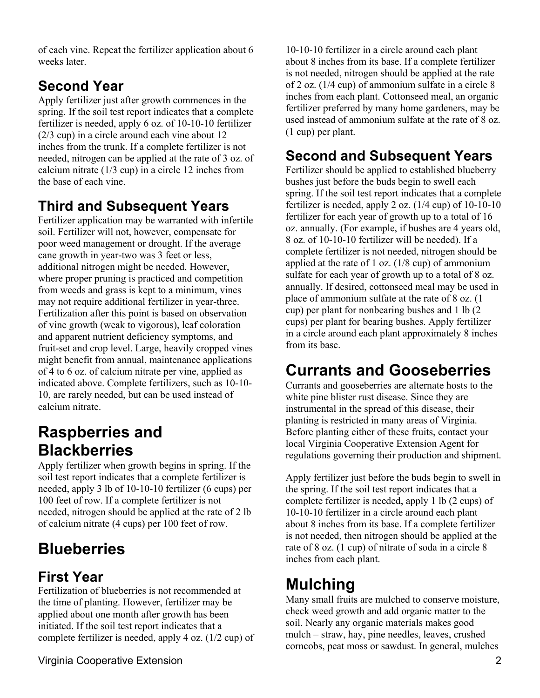of each vine. Repeat the fertilizer application about 6 weeks later.

#### **Second Year**

Apply fertilizer just after growth commences in the spring. If the soil test report indicates that a complete fertilizer is needed, apply 6 oz. of 10-10-10 fertilizer (2/3 cup) in a circle around each vine about 12 inches from the trunk. If a complete fertilizer is not needed, nitrogen can be applied at the rate of 3 oz. of calcium nitrate (1/3 cup) in a circle 12 inches from the base of each vine.

#### **Third and Subsequent Years**

Fertilizer application may be warranted with infertile soil. Fertilizer will not, however, compensate for poor weed management or drought. If the average cane growth in year-two was 3 feet or less, additional nitrogen might be needed. However, where proper pruning is practiced and competition from weeds and grass is kept to a minimum, vines may not require additional fertilizer in year-three. Fertilization after this point is based on observation of vine growth (weak to vigorous), leaf coloration and apparent nutrient deficiency symptoms, and fruit-set and crop level. Large, heavily cropped vines might benefit from annual, maintenance applications of 4 to 6 oz. of calcium nitrate per vine, applied as indicated above. Complete fertilizers, such as 10-10- 10, are rarely needed, but can be used instead of calcium nitrate.

## **Raspberries and Blackberries**

Apply fertilizer when growth begins in spring. If the soil test report indicates that a complete fertilizer is needed, apply 3 lb of 10-10-10 fertilizer (6 cups) per 100 feet of row. If a complete fertilizer is not needed, nitrogen should be applied at the rate of 2 lb of calcium nitrate (4 cups) per 100 feet of row.

## **Blueberries**

## **First Year**

Fertilization of blueberries is not recommended at the time of planting. However, fertilizer may be applied about one month after growth has been initiated. If the soil test report indicates that a complete fertilizer is needed, apply 4 oz. (1/2 cup) of

Virginia Cooperative Extension 2

10-10-10 fertilizer in a circle around each plant about 8 inches from its base. If a complete fertilizer is not needed, nitrogen should be applied at the rate of 2 oz. (1/4 cup) of ammonium sulfate in a circle 8 inches from each plant. Cottonseed meal, an organic fertilizer preferred by many home gardeners, may be used instead of ammonium sulfate at the rate of 8 oz. (1 cup) per plant.

### **Second and Subsequent Years**

Fertilizer should be applied to established blueberry bushes just before the buds begin to swell each spring. If the soil test report indicates that a complete fertilizer is needed, apply 2 oz. (1/4 cup) of 10-10-10 fertilizer for each year of growth up to a total of 16 oz. annually. (For example, if bushes are 4 years old, 8 oz. of 10-10-10 fertilizer will be needed). If a complete fertilizer is not needed, nitrogen should be applied at the rate of  $1$  oz. ( $1/8$  cup) of ammonium sulfate for each year of growth up to a total of 8 oz. annually. If desired, cottonseed meal may be used in place of ammonium sulfate at the rate of 8 oz. (1 cup) per plant for nonbearing bushes and 1 lb (2 cups) per plant for bearing bushes. Apply fertilizer in a circle around each plant approximately 8 inches from its base.

## **Currants and Gooseberries**

Currants and gooseberries are alternate hosts to the white pine blister rust disease. Since they are instrumental in the spread of this disease, their planting is restricted in many areas of Virginia. Before planting either of these fruits, contact your local Virginia Cooperative Extension Agent for regulations governing their production and shipment.

Apply fertilizer just before the buds begin to swell in the spring. If the soil test report indicates that a complete fertilizer is needed, apply 1 lb (2 cups) of 10-10-10 fertilizer in a circle around each plant about 8 inches from its base. If a complete fertilizer is not needed, then nitrogen should be applied at the rate of 8 oz. (1 cup) of nitrate of soda in a circle 8 inches from each plant.

## **Mulching**

Many small fruits are mulched to conserve moisture, check weed growth and add organic matter to the soil. Nearly any organic materials makes good mulch – straw, hay, pine needles, leaves, crushed corncobs, peat moss or sawdust. In general, mulches